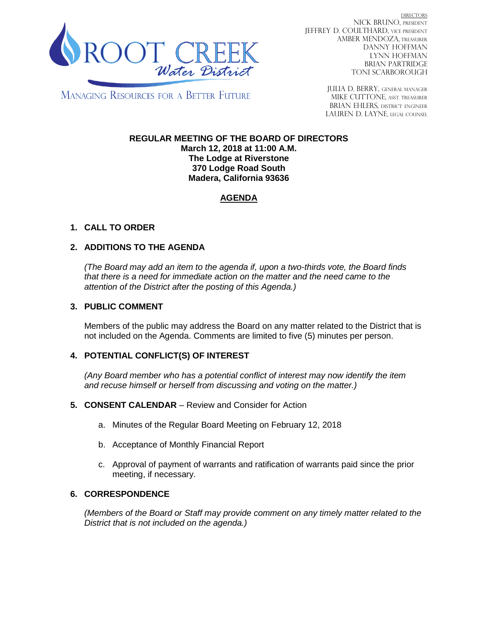

**DIRECTORS** NICK BRUNO, PRESIDENT JEFFREY D. COULTHARD, Vice President AMBER MENDOZA, TREASURER DANNY HOFFMAN LYNN HOFFMAN BRIAN PARTRIDGE TONI SCARBOROUGH

**MANAGING RESOURCES FOR A BETTER FUTURE** 

JULIA D. BERRY, GENERAL MANAGER MIKE CUTTONE, ASST TREASURER BRIAN EHLERS, DISTRICT ENGINEER LAUREN D. LAYNE, LEGAL COUNSEL

#### **REGULAR MEETING OF THE BOARD OF DIRECTORS March 12, 2018 at 11:00 A.M. The Lodge at Riverstone 370 Lodge Road South Madera, California 93636**

# **AGENDA**

# **1. CALL TO ORDER**

## **2. ADDITIONS TO THE AGENDA**

*(The Board may add an item to the agenda if, upon a two-thirds vote, the Board finds that there is a need for immediate action on the matter and the need came to the attention of the District after the posting of this Agenda.)*

#### **3. PUBLIC COMMENT**

Members of the public may address the Board on any matter related to the District that is not included on the Agenda. Comments are limited to five (5) minutes per person.

## **4. POTENTIAL CONFLICT(S) OF INTEREST**

*(Any Board member who has a potential conflict of interest may now identify the item and recuse himself or herself from discussing and voting on the matter.)*

#### **5. CONSENT CALENDAR** – Review and Consider for Action

- a. Minutes of the Regular Board Meeting on February 12, 2018
- b. Acceptance of Monthly Financial Report
- c. Approval of payment of warrants and ratification of warrants paid since the prior meeting, if necessary.

## **6. CORRESPONDENCE**

*(Members of the Board or Staff may provide comment on any timely matter related to the District that is not included on the agenda.)*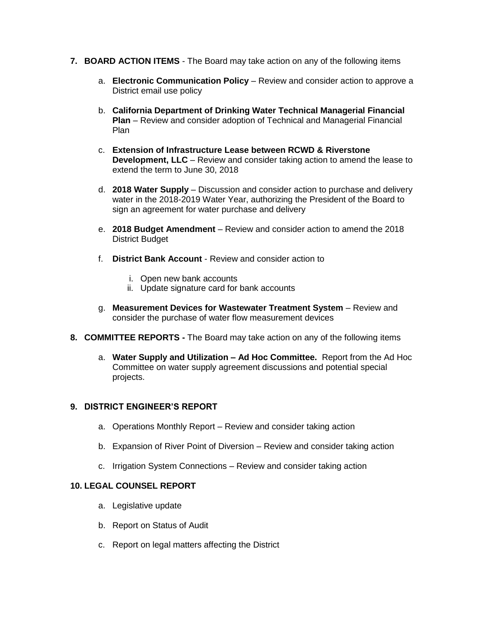- **7. BOARD ACTION ITEMS**  The Board may take action on any of the following items
	- a. **Electronic Communication Policy** Review and consider action to approve a District email use policy
	- b. **California Department of Drinking Water Technical Managerial Financial Plan** – Review and consider adoption of Technical and Managerial Financial Plan
	- c. **Extension of Infrastructure Lease between RCWD & Riverstone Development, LLC** – Review and consider taking action to amend the lease to extend the term to June 30, 2018
	- d. **2018 Water Supply**  Discussion and consider action to purchase and delivery water in the 2018-2019 Water Year, authorizing the President of the Board to sign an agreement for water purchase and delivery
	- e. **2018 Budget Amendment**  Review and consider action to amend the 2018 District Budget
	- f. **District Bank Account**  Review and consider action to
		- i. Open new bank accounts
		- ii. Update signature card for bank accounts
	- g. **Measurement Devices for Wastewater Treatment System** Review and consider the purchase of water flow measurement devices
- **8. COMMITTEE REPORTS -** The Board may take action on any of the following items
	- a. **Water Supply and Utilization – Ad Hoc Committee.** Report from the Ad Hoc Committee on water supply agreement discussions and potential special projects.

## **9. DISTRICT ENGINEER'S REPORT**

- a. Operations Monthly Report Review and consider taking action
- b. Expansion of River Point of Diversion Review and consider taking action
- c. Irrigation System Connections Review and consider taking action

## **10. LEGAL COUNSEL REPORT**

- a. Legislative update
- b. Report on Status of Audit
- c. Report on legal matters affecting the District